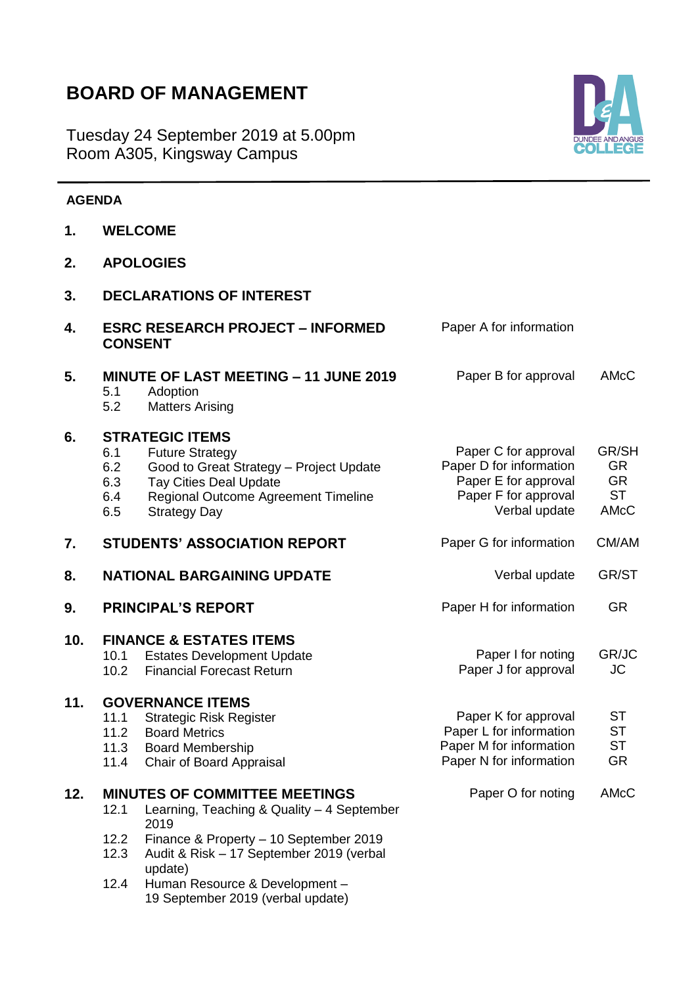# **BOARD OF MANAGEMENT**

**3. DECLARATIONS OF INTEREST**

update)

12.4 Human Resource & Development –

19 September 2019 (verbal update)

Tuesday 24 September 2019 at 5.00pm Room A305, Kingsway Campus



### **AGENDA**

**1. WELCOME**

| 4.  | <b>ESRC RESEARCH PROJECT - INFORMED</b><br><b>CONSENT</b> |                                                                                                                                                                                            | Paper A for information                                                                                          |                                                      |
|-----|-----------------------------------------------------------|--------------------------------------------------------------------------------------------------------------------------------------------------------------------------------------------|------------------------------------------------------------------------------------------------------------------|------------------------------------------------------|
| 5.  | 5.1<br>5.2                                                | <b>MINUTE OF LAST MEETING - 11 JUNE 2019</b><br>Adoption<br><b>Matters Arising</b>                                                                                                         | Paper B for approval                                                                                             | AMcC                                                 |
| 6.  | 6.1<br>6.2<br>6.3<br>6.4<br>6.5                           | <b>STRATEGIC ITEMS</b><br><b>Future Strategy</b><br>Good to Great Strategy - Project Update<br><b>Tay Cities Deal Update</b><br>Regional Outcome Agreement Timeline<br><b>Strategy Day</b> | Paper C for approval<br>Paper D for information<br>Paper E for approval<br>Paper F for approval<br>Verbal update | GR/SH<br><b>GR</b><br><b>GR</b><br><b>ST</b><br>AMcC |
| 7.  |                                                           | <b>STUDENTS' ASSOCIATION REPORT</b>                                                                                                                                                        | Paper G for information                                                                                          | CM/AM                                                |
| 8.  |                                                           | <b>NATIONAL BARGAINING UPDATE</b>                                                                                                                                                          | Verbal update                                                                                                    | GR/ST                                                |
| 9.  |                                                           | <b>PRINCIPAL'S REPORT</b>                                                                                                                                                                  | Paper H for information                                                                                          | <b>GR</b>                                            |
| 10. | 10.1<br>10.2                                              | <b>FINANCE &amp; ESTATES ITEMS</b><br><b>Estates Development Update</b><br><b>Financial Forecast Return</b>                                                                                | Paper I for noting<br>Paper J for approval                                                                       | GR/JC<br><b>JC</b>                                   |
| 11. | 11.1<br>11.2<br>11.3<br>11.4                              | <b>GOVERNANCE ITEMS</b><br><b>Strategic Risk Register</b><br><b>Board Metrics</b><br><b>Board Membership</b><br>Chair of Board Appraisal                                                   | Paper K for approval<br>Paper L for information<br>Paper M for information<br>Paper N for information            | <b>ST</b><br><b>ST</b><br><b>ST</b><br><b>GR</b>     |
| 12. | 12.1<br>12.2<br>12.3                                      | <b>MINUTES OF COMMITTEE MEETINGS</b><br>Learning, Teaching & Quality - 4 September<br>2019<br>Finance & Property - 10 September 2019<br>Audit & Risk - 17 September 2019 (verbal           | Paper O for noting                                                                                               | AMcC                                                 |